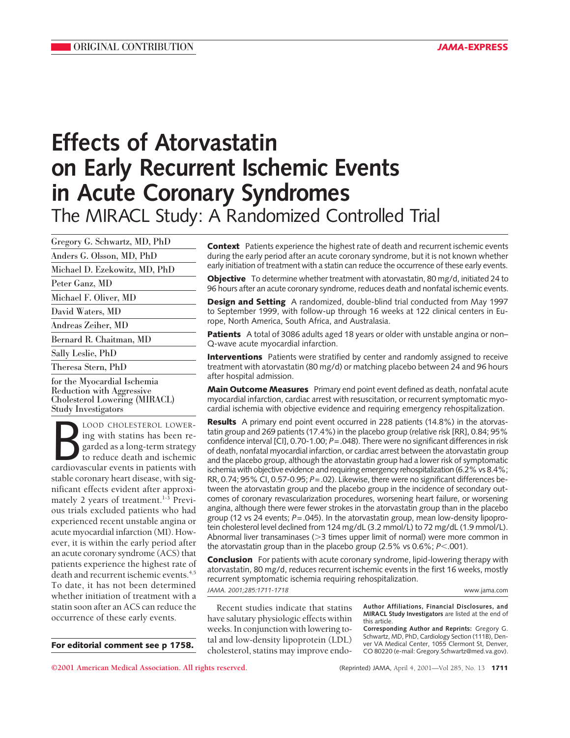# **Effects of Atorvastatin on Early Recurrent Ischemic Events in Acute Coronary Syndromes** The MIRACL Study: A Randomized Controlled Trial

Gregory G. Schwartz, MD, PhD

Anders G. Olsson, MD, PhD

Michael D. Ezekowitz, MD, PhD

Peter Ganz, MD

Michael F. Oliver, MD

David Waters, MD

Andreas Zeiher, MD

Bernard R. Chaitman, MD

Sally Leslie, PhD

Theresa Stern, PhD

for the Myocardial Ischemia Reduction with Aggressive Cholesterol Lowering (MIRACL) Study Investigators

LOOD CHOLESTEROL LOWER-<br>
ing with statins has been re-<br>
garded as a long-term strategy<br>
to reduce death and ischemic<br>
cardiovascular events in patients with LOOD CHOLESTEROL LOWERing with statins has been regarded as a long-term strategy to reduce death and ischemic stable coronary heart disease, with significant effects evident after approximately 2 years of treatment.<sup>1-3</sup> Previous trials excluded patients who had experienced recent unstable angina or acute myocardial infarction (MI). However, it is within the early period after an acute coronary syndrome (ACS) that patients experience the highest rate of death and recurrent ischemic events.<sup>4,5</sup> To date, it has not been determined whether initiation of treatment with a statin soon after an ACS can reduce the occurrence of these early events.

**For editorial comment see p 1758.**

**Context** Patients experience the highest rate of death and recurrent ischemic events during the early period after an acute coronary syndrome, but it is not known whether early initiation of treatment with a statin can reduce the occurrence of these early events.

**Objective** To determine whether treatment with atorvastatin, 80 mg/d, initiated 24 to 96 hours after an acute coronary syndrome, reduces death and nonfatal ischemic events.

**Design and Setting** A randomized, double-blind trial conducted from May 1997 to September 1999, with follow-up through 16 weeks at 122 clinical centers in Europe, North America, South Africa, and Australasia.

**Patients** A total of 3086 adults aged 18 years or older with unstable angina or non– Q-wave acute myocardial infarction.

**Interventions** Patients were stratified by center and randomly assigned to receive treatment with atorvastatin (80 mg/d) or matching placebo between 24 and 96 hours after hospital admission.

**Main Outcome Measures** Primary end point event defined as death, nonfatal acute myocardial infarction, cardiac arrest with resuscitation, or recurrent symptomatic myocardial ischemia with objective evidence and requiring emergency rehospitalization.

**Results** A primary end point event occurred in 228 patients (14.8%) in the atorvastatin group and 269 patients (17.4%) in the placebo group (relative risk [RR], 0.84; 95% confidence interval [CI], 0.70-1.00; *P*=.048). There were no significant differences in risk of death, nonfatal myocardial infarction, or cardiac arrest between the atorvastatin group and the placebo group, although the atorvastatin group had a lower risk of symptomatic ischemia with objective evidence and requiring emergency rehospitalization (6.2% vs 8.4%; RR, 0.74; 95% CI, 0.57-0.95; *P*=.02). Likewise, there were no significant differences between the atorvastatin group and the placebo group in the incidence of secondary outcomes of coronary revascularization procedures, worsening heart failure, or worsening angina, although there were fewer strokes in the atorvastatin group than in the placebo group (12 vs 24 events; *P*=.045). In the atorvastatin group, mean low-density lipoprotein cholesterol level declined from 124 mg/dL (3.2 mmol/L) to 72 mg/dL (1.9 mmol/L). Abnormal liver transaminases ( $>$ 3 times upper limit of normal) were more common in the atorvastatin group than in the placebo group  $(2.5\% \text{ vs } 0.6\%; P<.001).$ 

**Conclusion** For patients with acute coronary syndrome, lipid-lowering therapy with atorvastatin, 80 mg/d, reduces recurrent ischemic events in the first 16 weeks, mostly recurrent symptomatic ischemia requiring rehospitalization. *JAMA. 2001;285:1711-1718* www.jama.com

Recent studies indicate that statins have salutary physiologic effects within weeks. In conjunction with lowering total and low-density lipoprotein (LDL) cholesterol, statins may improve endo**Author Affiliations, Financial Disclosures, and MIRACL Study Investigators** are listed at the end of this article.

**Corresponding Author and Reprints:** Gregory G. Schwartz, MD, PhD, Cardiology Section (111B), Den-ver VA Medical Center, 1055 Clermont St, Denver, CO 80220 (e-mail: Gregory.Schwartz@med.va.gov).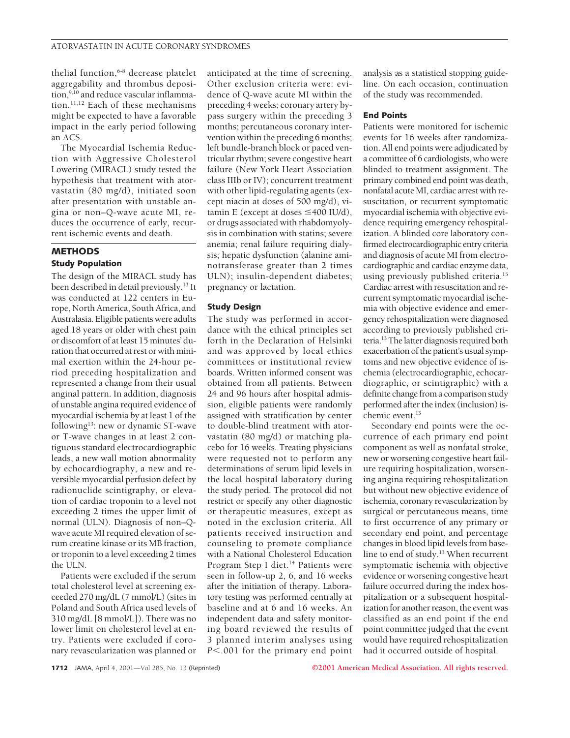thelial function, $6-8$  decrease platelet aggregability and thrombus deposition,<sup>9,10</sup> and reduce vascular inflammation.<sup>11,12</sup> Each of these mechanisms might be expected to have a favorable impact in the early period following an ACS.

The Myocardial Ischemia Reduction with Aggressive Cholesterol Lowering (MIRACL) study tested the hypothesis that treatment with atorvastatin (80 mg/d), initiated soon after presentation with unstable angina or non–Q-wave acute MI, reduces the occurrence of early, recurrent ischemic events and death.

# **METHODS Study Population**

The design of the MIRACL study has been described in detail previously.<sup>13</sup> It was conducted at 122 centers in Europe, North America, South Africa, and Australasia. Eligible patients were adults aged 18 years or older with chest pain or discomfort of at least 15 minutes' duration that occurred at rest or with minimal exertion within the 24-hour period preceding hospitalization and represented a change from their usual anginal pattern. In addition, diagnosis of unstable angina required evidence of myocardial ischemia by at least 1 of the following<sup>13</sup>: new or dynamic ST-wave or T-wave changes in at least 2 contiguous standard electrocardiographic leads, a new wall motion abnormality by echocardiography, a new and reversible myocardial perfusion defect by radionuclide scintigraphy, or elevation of cardiac troponin to a level not exceeding 2 times the upper limit of normal (ULN). Diagnosis of non–Qwave acute MI required elevation of serum creatine kinase or its MB fraction, or troponin to a level exceeding 2 times the ULN.

Patients were excluded if the serum total cholesterol level at screening exceeded 270 mg/dL (7 mmol/L) (sites in Poland and South Africa used levels of 310 mg/dL [8 mmol/L]). There was no lower limit on cholesterol level at entry. Patients were excluded if coronary revascularization was planned or anticipated at the time of screening. Other exclusion criteria were: evidence of Q-wave acute MI within the preceding 4 weeks; coronary artery bypass surgery within the preceding 3 months; percutaneous coronary intervention within the preceding 6 months; left bundle-branch block or paced ventricular rhythm; severe congestive heart failure (New York Heart Association class IIIb or IV); concurrent treatment with other lipid-regulating agents (except niacin at doses of 500 mg/d), vitamin E (except at doses  $\leq 400$  IU/d), or drugs associated with rhabdomyolysis in combination with statins; severe anemia; renal failure requiring dialysis; hepatic dysfunction (alanine aminotransferase greater than 2 times ULN); insulin-dependent diabetes; pregnancy or lactation.

# **Study Design**

The study was performed in accordance with the ethical principles set forth in the Declaration of Helsinki and was approved by local ethics committees or institutional review boards. Written informed consent was obtained from all patients. Between 24 and 96 hours after hospital admission, eligible patients were randomly assigned with stratification by center to double-blind treatment with atorvastatin (80 mg/d) or matching placebo for 16 weeks. Treating physicians were requested not to perform any determinations of serum lipid levels in the local hospital laboratory during the study period. The protocol did not restrict or specify any other diagnostic or therapeutic measures, except as noted in the exclusion criteria. All patients received instruction and counseling to promote compliance with a National Cholesterol Education Program Step I diet.<sup>14</sup> Patients were seen in follow-up 2, 6, and 16 weeks after the initiation of therapy. Laboratory testing was performed centrally at baseline and at 6 and 16 weeks. An independent data and safety monitoring board reviewed the results of 3 planned interim analyses using *P*<.001 for the primary end point

analysis as a statistical stopping guideline. On each occasion, continuation of the study was recommended.

#### **End Points**

Patients were monitored for ischemic events for 16 weeks after randomization. All end points were adjudicated by a committee of 6 cardiologists, who were blinded to treatment assignment. The primary combined end point was death, nonfatal acute MI, cardiac arrest with resuscitation, or recurrent symptomatic myocardial ischemia with objective evidence requiring emergency rehospitalization. A blinded core laboratory confirmed electrocardiographic entry criteria and diagnosis of acute MI from electrocardiographic and cardiac enzyme data, using previously published criteria.<sup>15</sup> Cardiac arrest with resuscitation and recurrent symptomatic myocardial ischemia with objective evidence and emergency rehospitalization were diagnosed according to previously published criteria.13The latter diagnosis required both exacerbation of the patient's usual symptoms and new objective evidence of ischemia (electrocardiographic, echocardiographic, or scintigraphic) with a definite change from a comparison study performed after the index (inclusion) ischemic event.<sup>13</sup>

Secondary end points were the occurrence of each primary end point component as well as nonfatal stroke, new or worsening congestive heart failure requiring hospitalization, worsening angina requiring rehospitalization but without new objective evidence of ischemia, coronary revascularization by surgical or percutaneous means, time to first occurrence of any primary or secondary end point, and percentage changes in blood lipid levels from baseline to end of study.<sup>13</sup> When recurrent symptomatic ischemia with objective evidence or worsening congestive heart failure occurred during the index hospitalization or a subsequent hospitalization for another reason, the event was classified as an end point if the end point committee judged that the event would have required rehospitalization had it occurred outside of hospital.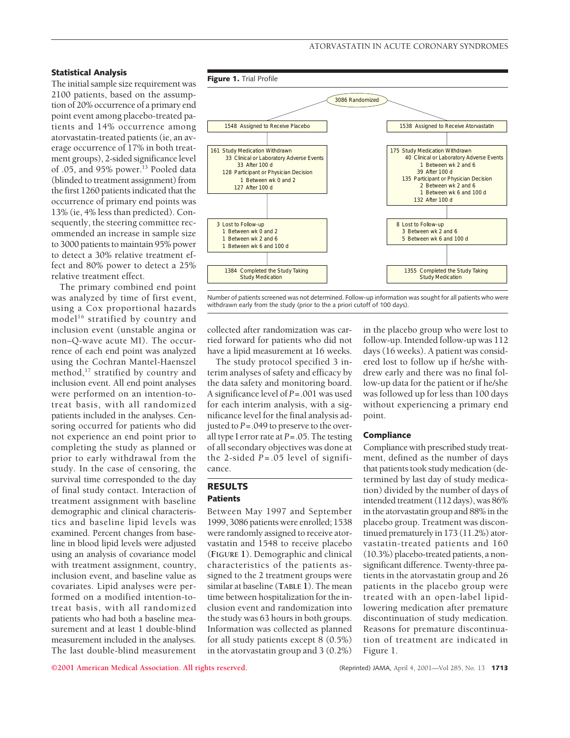### **Statistical Analysis**

The initial sample size requirement was 2100 patients, based on the assumption of 20% occurrence of a primary end point event among placebo-treated patients and 14% occurrence among atorvastatin-treated patients (ie, an average occurrence of 17% in both treatment groups), 2-sided significance level of .05, and 95% power.<sup>13</sup> Pooled data (blinded to treatment assignment) from the first 1260 patients indicated that the occurrence of primary end points was 13% (ie, 4% less than predicted). Consequently, the steering committee recommended an increase in sample size to 3000 patients to maintain 95% power to detect a 30% relative treatment effect and 80% power to detect a 25% relative treatment effect.

The primary combined end point was analyzed by time of first event, using a Cox proportional hazards model<sup>16</sup> stratified by country and inclusion event (unstable angina or non–Q-wave acute MI). The occurrence of each end point was analyzed using the Cochran Mantel-Haenszel method, $^{17}$  stratified by country and inclusion event. All end point analyses were performed on an intention-totreat basis, with all randomized patients included in the analyses. Censoring occurred for patients who did not experience an end point prior to completing the study as planned or prior to early withdrawal from the study. In the case of censoring, the survival time corresponded to the day of final study contact. Interaction of treatment assignment with baseline demographic and clinical characteristics and baseline lipid levels was examined. Percent changes from baseline in blood lipid levels were adjusted using an analysis of covariance model with treatment assignment, country, inclusion event, and baseline value as covariates. Lipid analyses were performed on a modified intention-totreat basis, with all randomized patients who had both a baseline measurement and at least 1 double-blind measurement included in the analyses. The last double-blind measurement



Number of patients screened was not determined. Follow-up information was sought for all patients who were withdrawn early from the study (prior to the a priori cutoff of 100 days).

collected after randomization was carried forward for patients who did not have a lipid measurement at 16 weeks.

The study protocol specified 3 interim analyses of safety and efficacy by the data safety and monitoring board. A significance level of *P*=.001 was used for each interim analysis, with a significance level for the final analysis adjusted to *P*=.049 to preserve to the overall type I error rate at *P*=.05. The testing of all secondary objectives was done at the 2-sided  $P = .05$  level of significance.

# **RESULTS Patients**

Between May 1997 and September 1999, 3086 patients were enrolled; 1538 were randomly assigned to receive atorvastatin and 1548 to receive placebo (**FIGURE 1**). Demographic and clinical characteristics of the patients assigned to the 2 treatment groups were similar at baseline (**TABLE 1**). The mean time between hospitalization for the inclusion event and randomization into the study was 63 hours in both groups. Information was collected as planned for all study patients except 8 (0.5%) in the atorvastatin group and 3 (0.2%)

in the placebo group who were lost to follow-up. Intended follow-up was 112 days (16 weeks). A patient was considered lost to follow up if he/she withdrew early and there was no final follow-up data for the patient or if he/she was followed up for less than 100 days without experiencing a primary end point.

## **Compliance**

Compliance with prescribed study treatment, defined as the number of days that patients took study medication (determined by last day of study medication) divided by the number of days of intended treatment (112 days), was 86% in the atorvastatin group and 88% in the placebo group. Treatment was discontinued prematurely in 173 (11.2%) atorvastatin-treated patients and 160 (10.3%) placebo-treated patients, a nonsignificant difference. Twenty-three patients in the atorvastatin group and 26 patients in the placebo group were treated with an open-label lipidlowering medication after premature discontinuation of study medication. Reasons for premature discontinuation of treatment are indicated in Figure 1.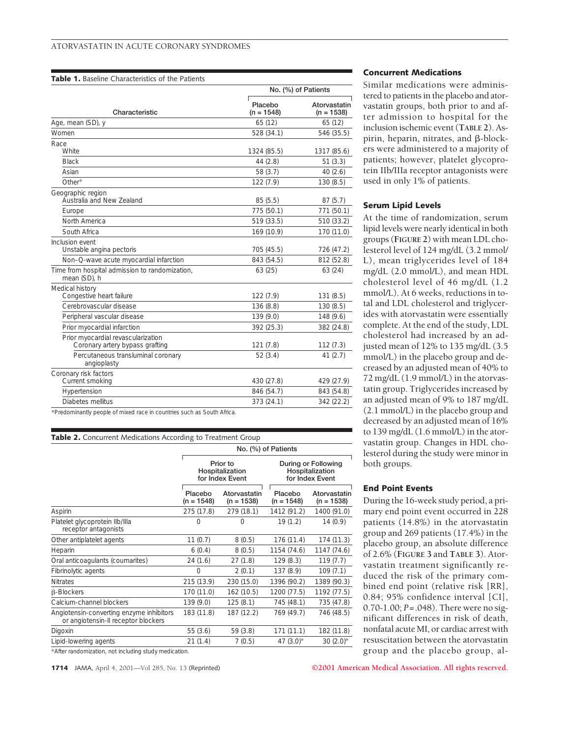#### **Table 1.** Baseline Characteristics of the Patients

|                                                                       | No. (%) of Patients     |                              |  |
|-----------------------------------------------------------------------|-------------------------|------------------------------|--|
| Characteristic                                                        | Placebo<br>$(n = 1548)$ | Atorvastatin<br>$(n = 1538)$ |  |
| Age, mean (SD), y                                                     | 65(12)                  | 65(12)                       |  |
| Women                                                                 | 528 (34.1)              | 546 (35.5)                   |  |
| Race<br>White                                                         | 1324 (85.5)             | 1317 (85.6)                  |  |
| <b>Black</b>                                                          | 44 (2.8)                | 51(3.3)                      |  |
| Asian                                                                 | 58(3.7)                 | 40(2.6)                      |  |
| Other*                                                                | 122 (7.9)               | 130(8.5)                     |  |
| Geographic region<br>Australia and New Zealand                        | 85(5.5)                 | 87(5.7)                      |  |
| Europe                                                                | 775 (50.1)              | 771 (50.1)                   |  |
| North America                                                         | 519 (33.5)              | 510 (33.2)                   |  |
| South Africa                                                          | 169 (10.9)              | 170 (11.0)                   |  |
| Inclusion event<br>Unstable angina pectoris                           | 705 (45.5)              | 726 (47.2)                   |  |
| Non-Q-wave acute myocardial infarction                                | 843 (54.5)              | 812 (52.8)                   |  |
| Time from hospital admission to randomization,<br>mean (SD), h        | 63(25)                  | 63(24)                       |  |
| Medical history<br>Congestive heart failure                           | 122 (7.9)               | 131(8.5)                     |  |
| Cerebrovascular disease                                               | 136 (8.8)               | 130(8.5)                     |  |
| Peripheral vascular disease                                           | 139 (9.0)               | 148 (9.6)                    |  |
| Prior myocardial infarction                                           | 392 (25.3)              | 382 (24.8)                   |  |
| Prior myocardial revascularization<br>Coronary artery bypass grafting | 121(7.8)                | 112(7.3)                     |  |
| Percutaneous transluminal coronary<br>angioplasty                     | 52(3.4)                 | 41(2.7)                      |  |
| Coronary risk factors<br>Current smoking                              | 430 (27.8)              | 429 (27.9)                   |  |
| Hypertension                                                          | 846 (54.7)              | 843 (54.8)                   |  |
| Diabetes mellitus                                                     | 373 (24.1)              | 342 (22.2)                   |  |
|                                                                       |                         |                              |  |

\*Predominantly people of mixed race in countries such as South Africa.

| <b>Table 2.</b> Concurrent Medications According to Treatment Group             |                                                |                              |                                                           |                              |  |  |  |
|---------------------------------------------------------------------------------|------------------------------------------------|------------------------------|-----------------------------------------------------------|------------------------------|--|--|--|
|                                                                                 | No. (%) of Patients                            |                              |                                                           |                              |  |  |  |
|                                                                                 | Prior to<br>Hospitalization<br>for Index Event |                              | During or Following<br>Hospitalization<br>for Index Event |                              |  |  |  |
|                                                                                 | Placebo<br>$(n = 1548)$                        | Atorvastatin<br>$(n = 1538)$ | Placebo<br>$(n = 1548)$                                   | Atorvastatin<br>$(n = 1538)$ |  |  |  |
| Aspirin                                                                         | 275 (17.8)                                     | 279 (18.1)                   | 1412 (91.2)                                               | 1400 (91.0)                  |  |  |  |
| Platelet glycoprotein Ilb/Illa<br>receptor antagonists                          | 0                                              | 0                            | 19(1.2)                                                   | 14(0.9)                      |  |  |  |
| Other antiplatelet agents                                                       | 11(0.7)                                        | 8(0.5)                       | 176 (11.4)                                                | 174 (11.3)                   |  |  |  |
| Heparin                                                                         | 6(0.4)                                         | 8(0.5)                       | 1154 (74.6)                                               | 1147 (74.6)                  |  |  |  |
| Oral anticoagulants (coumarites)                                                | 24(1.6)                                        | 27(1.8)                      | 129(8.3)                                                  | 119(7.7)                     |  |  |  |
| Fibrinolytic agents                                                             | $\Omega$                                       | 2(0.1)                       | 137 (8.9)                                                 | 109(7.1)                     |  |  |  |
| <b>Nitrates</b>                                                                 | 215 (13.9)                                     | 230 (15.0)                   | 1396 (90.2)                                               | 1389 (90.3)                  |  |  |  |
| <b>B-Blockers</b>                                                               | 170 (11.0)                                     | 162(10.5)                    | 1200 (77.5)                                               | 1192 (77.5)                  |  |  |  |
| Calcium-channel blockers                                                        | 139(9.0)                                       | 125(8.1)                     | 745 (48.1)                                                | 735 (47.8)                   |  |  |  |
| Angiotensin-converting enzyme inhibitors<br>or angiotensin-II receptor blockers | 183 (11.8)                                     | 187 (12.2)                   | 769 (49.7)                                                | 746 (48.5)                   |  |  |  |
| Digoxin                                                                         | 55(3.6)                                        | 59(3.8)                      | 171(11.1)                                                 | 182 (11.8)                   |  |  |  |
| Lipid-lowering agents                                                           | 21(1.4)                                        | 7(0.5)                       | $47(3.0)*$                                                | $30(2.0)*$                   |  |  |  |

\*After randomization, not including study medication.

## **Concurrent Medications**

Similar medications were administered to patients in the placebo and atorvastatin groups, both prior to and after admission to hospital for the inclusion ischemic event (**TABLE 2**). Aspirin, heparin, nitrates, and  $\beta$ -blockers were administered to a majority of patients; however, platelet glycoprotein IIb/IIIa receptor antagonists were used in only 1% of patients.

#### **Serum Lipid Levels**

At the time of randomization, serum lipid levels were nearly identical in both groups (**FIGURE 2**) with mean LDL cholesterol level of 124 mg/dL (3.2 mmol/ L), mean triglycerides level of 184 mg/dL (2.0 mmol/L), and mean HDL cholesterol level of 46 mg/dL (1.2 mmol/L). At 6 weeks, reductions in total and LDL cholesterol and triglycerides with atorvastatin were essentially complete. At the end of the study, LDL cholesterol had increased by an adjusted mean of 12% to 135 mg/dL (3.5 mmol/L) in the placebo group and decreased by an adjusted mean of 40% to 72 mg/dL (1.9 mmol/L) in the atorvastatin group. Triglycerides increased by an adjusted mean of 9% to 187 mg/dL (2.1 mmol/L) in the placebo group and decreased by an adjusted mean of 16% to 139 mg/dL (1.6 mmol/L) in the atorvastatin group. Changes in HDL cholesterol during the study were minor in both groups.

## **End Point Events**

During the 16-week study period, a primary end point event occurred in 228 patients (14.8%) in the atorvastatin group and 269 patients (17.4%) in the placebo group, an absolute difference of 2.6% (**FIGURE 3** and **TABLE 3**). Atorvastatin treatment significantly reduced the risk of the primary combined end point (relative risk [RR], 0.84; 95% confidence interval [CI], 0.70-1.00; *P*=.048). There were no significant differences in risk of death, nonfatal acute MI, or cardiac arrest with resuscitation between the atorvastatin group and the placebo group, al-

**1714** JAMA, April 4, 2001—Vol 285, No. 13 (Reprinted) **©2001 American Medical Association. All rights reserved.**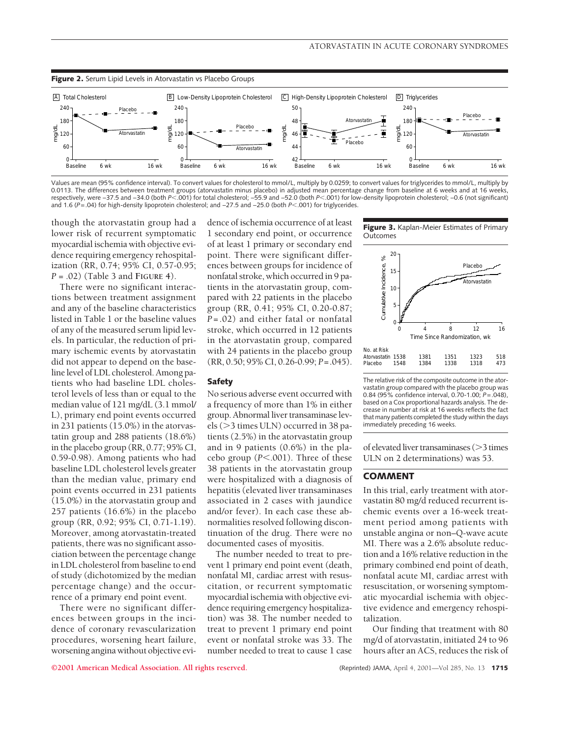

Values are mean (95% confidence interval). To convert values for cholesterol to mmol/L, multiply by 0.0259; to convert values for triglycerides to mmol/L, multiply by 0.0113. The differences between treatment groups (atorvastatin minus placebo) in adjusted mean percentage change from baseline at 6 weeks and at 16 weeks, respectively, were −37.5 and −34.0 (both *P*<.001) for total cholesterol; −55.9 and −52.0 (both *P*<.001) for low-density lipoprotein cholesterol; −0.6 (not significant) and 1.6 (*P*=.04) for high-density lipoprotein cholesterol; and −27.5 and −25.0 (both *P*<.001) for triglycerides.

though the atorvastatin group had a lower risk of recurrent symptomatic myocardial ischemia with objective evidence requiring emergency rehospitalization (RR, 0.74; 95% CI, 0.57-0.95; *P* = .02) (Table 3 and **FIGURE 4**).

There were no significant interactions between treatment assignment and any of the baseline characteristics listed in Table 1 or the baseline values of any of the measured serum lipid levels. In particular, the reduction of primary ischemic events by atorvastatin did not appear to depend on the baseline level of LDL cholesterol. Among patients who had baseline LDL cholesterol levels of less than or equal to the median value of 121 mg/dL (3.1 mmol/ L), primary end point events occurred in 231 patients (15.0%) in the atorvastatin group and 288 patients (18.6%) in the placebo group (RR, 0.77; 95% CI, 0.59-0.98). Among patients who had baseline LDL cholesterol levels greater than the median value, primary end point events occurred in 231 patients (15.0%) in the atorvastatin group and 257 patients (16.6%) in the placebo group (RR, 0.92; 95% CI, 0.71-1.19). Moreover, among atorvastatin-treated patients, there was no significant association between the percentage change in LDL cholesterol from baseline to end of study (dichotomized by the median percentage change) and the occurrence of a primary end point event.

There were no significant differences between groups in the incidence of coronary revascularization procedures, worsening heart failure, worsening angina without objective evidence of ischemia occurrence of at least 1 secondary end point, or occurrence of at least 1 primary or secondary end point. There were significant differences between groups for incidence of nonfatal stroke, which occurred in 9 patients in the atorvastatin group, compared with 22 patients in the placebo group (RR, 0.41; 95% CI, 0.20-0.87; *P*=.02) and either fatal or nonfatal stroke, which occurred in 12 patients in the atorvastatin group, compared with 24 patients in the placebo group (RR, 0.50; 95% CI, 0.26-0.99; *P*=.045).

# **Safety**

No serious adverse event occurred with a frequency of more than 1% in either group. Abnormal liver transaminase levels ( $>$ 3 times ULN) occurred in 38 patients (2.5%) in the atorvastatin group and in 9 patients (0.6%) in the placebo group  $(P<.001)$ . Three of these 38 patients in the atorvastatin group were hospitalized with a diagnosis of hepatitis (elevated liver transaminases associated in 2 cases with jaundice and/or fever). In each case these abnormalities resolved following discontinuation of the drug. There were no documented cases of myositis.

The number needed to treat to prevent 1 primary end point event (death, nonfatal MI, cardiac arrest with resuscitation, or recurrent symptomatic myocardial ischemia with objective evidence requiring emergency hospitalization) was 38. The number needed to treat to prevent 1 primary end point event or nonfatal stroke was 33. The number needed to treat to cause 1 case

**Figure 3.** Kaplan-Meier Estimates of Primary **Outcomes** 



The relative risk of the composite outcome in the atorvastatin group compared with the placebo group was 0.84 (95% confidence interval, 0.70-1.00; *P*=.048), based on a Cox proportional hazards analysis. The decrease in number at risk at 16 weeks reflects the fact that many patients completed the study within the days immediately preceding 16 weeks.

of elevated liver transaminases ( $>$ 3 times ULN on 2 determinations) was 53.

# **COMMENT**

In this trial, early treatment with atorvastatin 80 mg/d reduced recurrent ischemic events over a 16-week treatment period among patients with unstable angina or non–Q-wave acute MI. There was a 2.6% absolute reduction and a 16% relative reduction in the primary combined end point of death, nonfatal acute MI, cardiac arrest with resuscitation, or worsening symptomatic myocardial ischemia with objective evidence and emergency rehospitalization.

Our finding that treatment with 80 mg/d of atorvastatin, initiated 24 to 96 hours after an ACS, reduces the risk of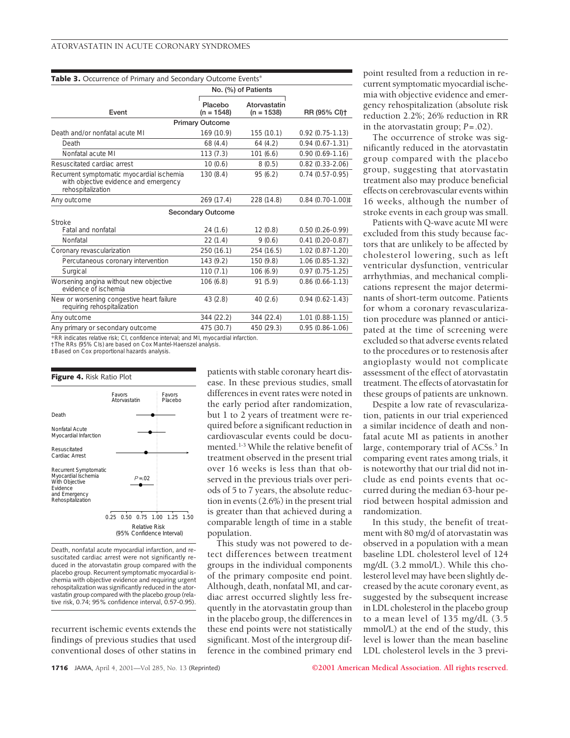| <b>Table 3.</b> Occurrence of Primary and Secondary Outcome Events*                                     |                          |                              |                     |  |  |  |  |
|---------------------------------------------------------------------------------------------------------|--------------------------|------------------------------|---------------------|--|--|--|--|
|                                                                                                         |                          | No. (%) of Patients          |                     |  |  |  |  |
| Event                                                                                                   | Placebo<br>$(n = 1548)$  | Atorvastatin<br>$(n = 1538)$ | RR (95% CI)+        |  |  |  |  |
| <b>Primary Outcome</b>                                                                                  |                          |                              |                     |  |  |  |  |
| Death and/or nonfatal acute MI                                                                          | 169 (10.9)               | 155(10.1)                    | $0.92(0.75 - 1.13)$ |  |  |  |  |
| Death                                                                                                   | 68(4.4)                  | 64(4.2)                      | $0.94(0.67 - 1.31)$ |  |  |  |  |
| Nonfatal acute MI                                                                                       | 113(7.3)                 | 101(6.6)                     | $0.90(0.69 - 1.16)$ |  |  |  |  |
| Resuscitated cardiac arrest                                                                             | 10(0.6)                  | 8(0.5)                       | $0.82(0.33 - 2.06)$ |  |  |  |  |
| Recurrent symptomatic myocardial ischemia<br>with objective evidence and emergency<br>rehospitalization | 130(8.4)                 | 95(6.2)                      | $0.74(0.57-0.95)$   |  |  |  |  |
| Any outcome                                                                                             | 269 (17.4)               | 228 (14.8)                   | $0.84(0.70-1.00)$   |  |  |  |  |
|                                                                                                         | <b>Secondary Outcome</b> |                              |                     |  |  |  |  |
| Stroke                                                                                                  |                          |                              |                     |  |  |  |  |
| <b>Fatal and nonfatal</b>                                                                               | 24(1.6)                  | 12(0.8)                      | $0.50(0.26 - 0.99)$ |  |  |  |  |
| Nonfatal                                                                                                | 22(1.4)                  | 9(0.6)                       | $0.41(0.20 - 0.87)$ |  |  |  |  |
| Coronary revascularization                                                                              | 250(16.1)                | 254 (16.5)                   | 1.02 (0.87-1.20)    |  |  |  |  |
| Percutaneous coronary intervention                                                                      | 143(9.2)                 | 150 (9.8)                    | 1.06 (0.85-1.32)    |  |  |  |  |
| Surgical                                                                                                | 110(7.1)                 | 106(6.9)                     | $0.97(0.75 - 1.25)$ |  |  |  |  |
| Worsening angina without new objective<br>evidence of ischemia                                          | 106(6.8)                 | 91(5.9)                      | $0.86(0.66 - 1.13)$ |  |  |  |  |
| New or worsening congestive heart failure<br>requiring rehospitalization                                | 43(2.8)                  | 40(2.6)                      | $0.94(0.62 - 1.43)$ |  |  |  |  |
| Any outcome                                                                                             | 344 (22.2)               | 344 (22.4)                   | $1.01(0.88-1.15)$   |  |  |  |  |
| Any primary or secondary outcome                                                                        | 475 (30.7)               | 450 (29.3)                   | $0.95(0.86 - 1.06)$ |  |  |  |  |

\*RR indicates relative risk; CI, confidence interval; and MI, myocardial infarction.

†The RRs (95% CIs) are based on Cox Mantel-Haenszel analysis.

‡Based on Cox proportional hazards analysis.

#### **Figure 4.** Risk Ratio Plot



Death, nonfatal acute myocardial infarction, and resuscitated cardiac arrest were not significantly reduced in the atorvastatin group compared with the placebo group. Recurrent symptomatic myocardial ischemia with objective evidence and requiring urgent rehospitalization was significantly reduced in the atorvastatin group compared with the placebo group (relative risk, 0.74; 95% confidence interval, 0.57-0.95).

recurrent ischemic events extends the findings of previous studies that used conventional doses of other statins in

patients with stable coronary heart disease. In these previous studies, small differences in event rates were noted in the early period after randomization, but 1 to 2 years of treatment were required before a significant reduction in cardiovascular events could be documented.1-3 While the relative benefit of treatment observed in the present trial over 16 weeks is less than that observed in the previous trials over periods of 5 to 7 years, the absolute reduction in events (2.6%) in the present trial is greater than that achieved during a comparable length of time in a stable population.

This study was not powered to detect differences between treatment groups in the individual components of the primary composite end point. Although, death, nonfatal MI, and cardiac arrest occurred slightly less frequently in the atorvastatin group than in the placebo group, the differences in these end points were not statistically significant. Most of the intergroup difference in the combined primary end

point resulted from a reduction in recurrent symptomatic myocardial ischemia with objective evidence and emergency rehospitalization (absolute risk reduction 2.2%; 26% reduction in RR in the atorvastatin group;  $P = .02$ ).

The occurrence of stroke was significantly reduced in the atorvastatin group compared with the placebo group, suggesting that atorvastatin treatment also may produce beneficial effects on cerebrovascular events within 16 weeks, although the number of stroke events in each group was small.

Patients with Q-wave acute MI were excluded from this study because factors that are unlikely to be affected by cholesterol lowering, such as left ventricular dysfunction, ventricular arrhythmias, and mechanical complications represent the major determinants of short-term outcome. Patients for whom a coronary revascularization procedure was planned or anticipated at the time of screening were excluded so that adverse events related to the procedures or to restenosis after angioplasty would not complicate assessment of the effect of atorvastatin treatment. The effects of atorvastatin for these groups of patients are unknown.

Despite a low rate of revascularization, patients in our trial experienced a similar incidence of death and nonfatal acute MI as patients in another large, contemporary trial of ACSs.<sup>5</sup> In comparing event rates among trials, it is noteworthy that our trial did not include as end points events that occurred during the median 63-hour period between hospital admission and randomization.

In this study, the benefit of treatment with 80 mg/d of atorvastatin was observed in a population with a mean baseline LDL cholesterol level of 124 mg/dL (3.2 mmol/L). While this cholesterol level may have been slightly decreased by the acute coronary event, as suggested by the subsequent increase in LDL cholesterol in the placebo group to a mean level of 135 mg/dL (3.5 mmol/L) at the end of the study, this level is lower than the mean baseline LDL cholesterol levels in the 3 previ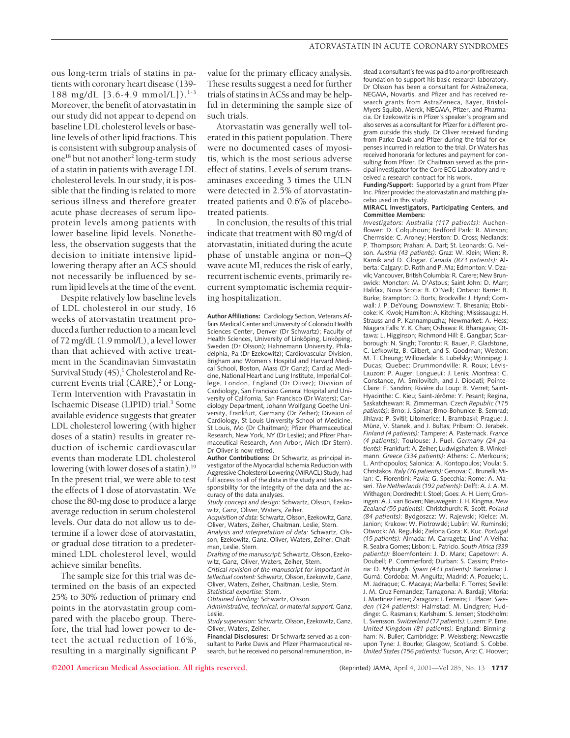ous long-term trials of statins in patients with coronary heart disease (139- 188 mg/dL  $[3.6-4.9 \text{ mmol/L}])$ .<sup>1-3</sup> Moreover, the benefit of atorvastatin in our study did not appear to depend on baseline LDL cholesterol levels or baseline levels of other lipid fractions. This is consistent with subgroup analysis of one<sup>18</sup> but not another<sup>2</sup> long-term study of a statin in patients with average LDL cholesterol levels. In our study, it is possible that the finding is related to more serious illness and therefore greater acute phase decreases of serum lipoprotein levels among patients with lower baseline lipid levels. Nonetheless, the observation suggests that the decision to initiate intensive lipidlowering therapy after an ACS should not necessarily be influenced by serum lipid levels at the time of the event.

Despite relatively low baseline levels of LDL cholesterol in our study, 16 weeks of atorvastatin treatment produced a further reduction to a mean level of 72 mg/dL (1.9 mmol/L), a level lower than that achieved with active treatment in the Scandinavian Simvastatin Survival Study  $(4S)$ ,<sup>1</sup> Cholesterol and Recurrent Events trial  $(CARE)^2$  or Long-Term Intervention with Pravastatin in Ischaemic Disease (LIPID) trial.3 Some available evidence suggests that greater LDL cholesterol lowering (with higher doses of a statin) results in greater reduction of ischemic cardiovascular events than moderate LDL cholesterol lowering (with lower doses of a statin).<sup>19</sup> In the present trial, we were able to test the effects of 1 dose of atorvastatin. We chose the 80-mg dose to produce a large average reduction in serum cholesterol levels. Our data do not allow us to determine if a lower dose of atorvastatin, or gradual dose titration to a predetermined LDL cholesterol level, would achieve similar benefits.

The sample size for this trial was determined on the basis of an expected 25% to 30% reduction of primary end points in the atorvastatin group compared with the placebo group. Therefore, the trial had lower power to detect the actual reduction of 16%, resulting in a marginally significant *P* value for the primary efficacy analysis. These results suggest a need for further trials of statins in ACSs and may be helpful in determining the sample size of such trials.

Atorvastatin was generally well tolerated in this patient population. There were no documented cases of myositis, which is the most serious adverse effect of statins. Levels of serum transaminases exceeding 3 times the ULN were detected in 2.5% of atorvastatintreated patients and 0.6% of placebotreated patients.

In conclusion, the results of this trial indicate that treatment with 80 mg/d of atorvastatin, initiated during the acute phase of unstable angina or non–Q wave acute MI, reduces the risk of early, recurrent ischemic events, primarily recurrent symptomatic ischemia requiring hospitalization.

**Author Affiliations:** Cardiology Section, Veterans Affairs Medical Center and University of Colorado Health Sciences Center, Denver (Dr Schwartz); Faculty of Health Sciences, University of Linköping, Linköping, Sweden (Dr Olsson); Hahnemann University, Philadelphia, Pa (Dr Ezekowitz); Cardiovascular Division, Brigham and Women's Hospital and Harvard Medical School, Boston, Mass (Dr Ganz); Cardiac Medicine, National Heart and Lung Institute, Imperial College, London, England (Dr Oliver); Division of Cardiology, San Francisco General Hospital and University of California, San Francisco (Dr Waters); Cardiology Department, Johann Wolfgang Goethe University, Frankfurt, Germany (Dr Zeiher); Division of Cardiology, St Louis University School of Medicine, St Louis, Mo (Dr Chaitman); Pfizer Pharmaceutical Research, New York, NY (Dr Leslie); and Pfizer Pharmaceutical Research, Ann Arbor, Mich (Dr Stern). Dr Oliver is now retired.

**Author Contributions:** Dr Schwartz, as principal investigator of the Myocardial Ischemia Reduction with Aggressive Cholesterol Lowering (MIRACL) Study, had full access to all of the data in the study and takes responsibility for the integrity of the data and the accuracy of the data analyses.

*Study concept and design:* Schwartz, Olsson, Ezekowitz, Ganz, Oliver, Waters, Zeiher.

*Acquisition of data:* Schwartz, Olsson, Ezekowitz, Ganz, Oliver, Waters, Zeiher, Chaitman, Leslie, Stern. *Analysis and interpretation of data:* Schwartz, Ols-

son, Ezekowitz, Ganz, Oliver, Waters, Zeiher, Chaitman, Leslie, Stern.

*Drafting of the manuscript:* Schwartz, Olsson, Ezekowitz, Ganz, Oliver, Waters, Zeiher, Stern.

*Critical revision of the manuscript for important intellectual content:* Schwartz, Olsson, Ezekowitz, Ganz, Oliver, Waters, Zeiher, Chaitman, Leslie, Stern. *Statistical expertise:* Stern.

*Obtained funding:* Schwartz, Olsson.

*Administrative, technical, or material support:* Ganz, Leslie.

*Study supervision:* Schwartz, Olsson, Ezekowitz, Ganz, Oliver, Waters, Zeiher.

**Financial Disclosures:** Dr Schwartz served as a consultant to Parke Davis and Pfizer Pharmaceutical research, but he received no personal remuneration, in-

stead a consultant's fee was paid to a nonprofit research foundation to support his basic research laboratory. Dr Olsson has been a consultant for AstraZeneca, NEGMA, Novartis, and Pfizer and has received research grants from AstraZeneca, Bayer, Bristol-Myers Squibb, Merck, NEGMA, Pfizer, and Pharmacia. Dr Ezekowitz is in Pfizer's speaker's program and also serves as a consultant for Pfizer for a different program outside this study. Dr Oliver received funding from Parke Davis and Pfizer during the trial for expenses incurred in relation to the trial. Dr Waters has received honoraria for lectures and payment for consulting from Pfizer. Dr Chaitman served as the principal investigator for the Core ECG Laboratory and received a research contract for his work.

**Funding/Support:** Supported by a grant from Pfizer Inc. Pfizer provided the atorvastatin and matching placebo used in this study.

#### **MIRACL Investigators, Participating Centers, and Committee Members:**

*Investigators: Australia (117 patients):* Auchenflower: D. Colquhoun; Bedford Park: R. Minson; Chermside: C. Aroney; Herston: D. Cross; Nedlands: P. Thompson; Prahan: A. Dart; St. Leonards: G. Nelson. *Austria (43 patients):* Graz: W. Klein; Wien: R. Karnik and D. Glogar. *Canada (873 patients):* Alberta: Calgary: D. Roth and P. Ma; Edmonton: V. Dzavik; Vancouver, British Columbia: R. Carere; New Brunswick: Moncton: M. D'Astous; Saint John: D. Marr; Halifax, Nova Scotia: B. O'Neill; Ontario: Barrie: B. Burke; Brampton: D. Borts; Brockville: J. Hynd; Cornwall: J. P. DeYoung; Downsview: T. Bhesania; Etobicoke: K. Kwok; Hamilton: A. Kitching; Mississauga: H. Strauss and P. Kannampuzha; Newmarket: A. Hess; Niagara Falls: Y. K. Chan; Oshawa: R. Bharagava; Ottawa: L. Higginson; Richmond Hill: E. Gangbar; Scarborough: N. Singh; Toronto: R. Bauer, P. Gladstone, C. Lefkowitz, B. Gilbert, and S. Goodman; Weston: M. T. Cheung; Willowdale: B. Lubelsky; Winnipeg: J. Ducas; Quebec: Drummondville: R. Roux; Lévis-Lauzon: P. Auger; Longueuil: J. Lenis; Montreal: C. Constance, M. Smilovitch, and J. Diodati; Pointe-Claire: F. Sandrin; Rivière du Loup: B. Verret; Saint-Hyacinthe: C. Kieu; Saint-Jérôme: Y. Pesant; Regina, Saskatchewan: R. Zimmerman. *Czech Republic (115 patients):* Brno: J. Spinar; Brno-Bohunice: B. Semrad; Jihlava: P. Svitil; Litomerice: I. Brambaski; Prague: J. Münz, V. Stanek, and J. Bultas; Pribam: O. Jerabek. *Finland (4 patients):* Tampere: A. Pasternack. *France (4 patients):* Toulouse: J. Puel. *Germany (24 patients):* Frankfurt: A. Zeiher; Ludwigshafen: B. Winkelmann. *Greece (334 patients):* Athens: C. Merkouris; L. Anthopoulos; Salonica: A. Kontopoulos; Voula: S. Christakos. *Italy (76 patients):* Genova: C. Brunelli; Milan: C. Fiorentini; Pavia: G. Specchia; Rome: A. Maseri. *The Netherlands (192 patients):* Delft: A. J. A. M. Withagen; Dordrecht: I. Stoel; Goes: A. H. Liem; Groningen: A. J. van Boven; Nieuwegein: J. H. Kingma. *New Zealand (55 patients):* Christchurch: R. Scott. *Poland (84 patients):* Bydgoszcz: W. Rajewski; Kielce: M. Janion; Krakow: W. Piotrowski; Lublin: W. Ruminski; Otwock: M. Regulski; Zielona Gora: K. Kuc. *Portugal (15 patients):* Almada: M. Carrageta; Lind' A Velha: R. Seabra Gomes; Lisbon: L. Patricio. *South Africa (339 patients):* Bloemfontein: J. D. Marx; Capetown: A. Doubell; P. Commerford; Durban: S. Cassim; Pretoria: D. Myburgh. *Spain (433 patients):* Barcelona: J. Gumá; Cordoba: M. Anguita; Madrid: A. Pozuelo: L. M. Jadraque; C. Macaya; Marbella: F. Torres; Seville: J. M. Cruz Fernandez; Tarragona: A. Bardají; Vitoria: J. Martinez Ferrer; Zaragoza: I. Ferreira; L. Placer. *Sweden (124 patients):* Halmstad: M. Lindgren; Huddinge: G. Rasmanis; Karlsham: S. Jensen; Stockholm: L. Svensson. *Switzerland (17 patients):* Luzern: P. Erne. *United Kingdom (81 patients):* England: Birmingham: N. Buller; Cambridge: P. Weissberg; Newcastle upon Tyne: J. Bourke; Glasgow, Scotland: S. Cobbe. *United States (156 patients):* Tucson, Ariz: C. Hoover;